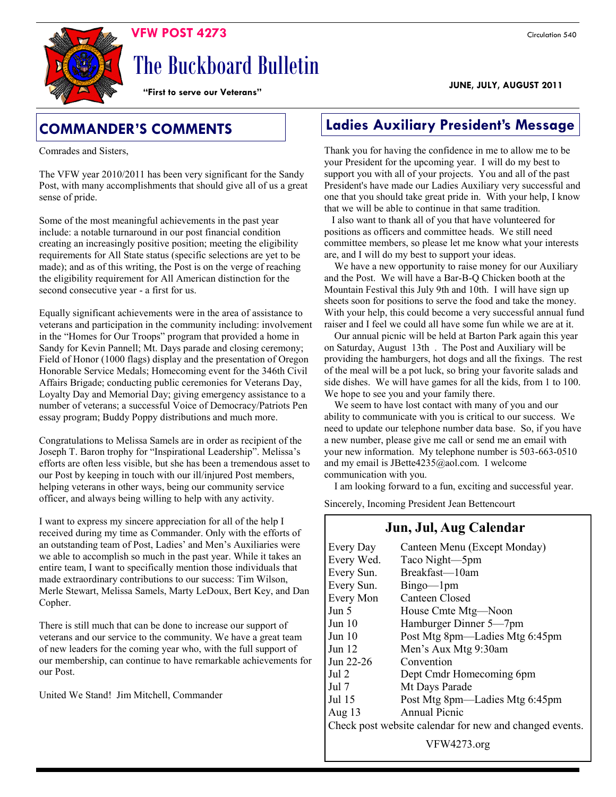**JUNE, JULY, AUGUST 2011** 

 **VFW POST 4273** Circulation 540

The Buckboard Bulletin

**"First to serve our Veterans"**

Comrades and Sisters,

The VFW year 2010/2011 has been very significant for the Sandy Post, with many accomplishments that should give all of us a great sense of pride.

Some of the most meaningful achievements in the past year include: a notable turnaround in our post financial condition creating an increasingly positive position; meeting the eligibility requirements for All State status (specific selections are yet to be made); and as of this writing, the Post is on the verge of reaching the eligibility requirement for All American distinction for the second consecutive year - a first for us.

Equally significant achievements were in the area of assistance to veterans and participation in the community including: involvement in the "Homes for Our Troops" program that provided a home in Sandy for Kevin Pannell; Mt. Days parade and closing ceremony; Field of Honor (1000 flags) display and the presentation of Oregon Honorable Service Medals; Homecoming event for the 346th Civil Affairs Brigade; conducting public ceremonies for Veterans Day, Loyalty Day and Memorial Day; giving emergency assistance to a number of veterans; a successful Voice of Democracy/Patriots Pen essay program; Buddy Poppy distributions and much more.

Congratulations to Melissa Samels are in order as recipient of the Joseph T. Baron trophy for "Inspirational Leadership". Melissa's efforts are often less visible, but she has been a tremendous asset to our Post by keeping in touch with our ill/injured Post members, helping veterans in other ways, being our community service officer, and always being willing to help with any activity.

I want to express my sincere appreciation for all of the help I received during my time as Commander. Only with the efforts of an outstanding team of Post, Ladies' and Men's Auxiliaries were we able to accomplish so much in the past year. While it takes an entire team, I want to specifically mention those individuals that made extraordinary contributions to our success: Tim Wilson, Merle Stewart, Melissa Samels, Marty LeDoux, Bert Key, and Dan Copher.

There is still much that can be done to increase our support of veterans and our service to the community. We have a great team of new leaders for the coming year who, with the full support of our membership, can continue to have remarkable achievements for our Post.

United We Stand! Jim Mitchell, Commander

# **COMMANDER'S COMMENTS Ladies Auxiliary President's Message**

Thank you for having the confidence in me to allow me to be your President for the upcoming year. I will do my best to support you with all of your projects. You and all of the past President's have made our Ladies Auxiliary very successful and one that you should take great pride in. With your help, I know that we will be able to continue in that same tradition.

 I also want to thank all of you that have volunteered for positions as officers and committee heads. We still need committee members, so please let me know what your interests are, and I will do my best to support your ideas.

 We have a new opportunity to raise money for our Auxiliary and the Post. We will have a Bar-B-Q Chicken booth at the Mountain Festival this July 9th and 10th. I will have sign up sheets soon for positions to serve the food and take the money. With your help, this could become a very successful annual fund raiser and I feel we could all have some fun while we are at it.

 Our annual picnic will be held at Barton Park again this year on Saturday, August 13th . The Post and Auxiliary will be providing the hamburgers, hot dogs and all the fixings. The rest of the meal will be a pot luck, so bring your favorite salads and side dishes. We will have games for all the kids, from 1 to 100. We hope to see you and your family there.

 We seem to have lost contact with many of you and our ability to communicate with you is critical to our success. We need to update our telephone number data base. So, if you have a new number, please give me call or send me an email with your new information. My telephone number is 503-663-0510 and my email is JBette4235@aol.com. I welcome communication with you.

I am looking forward to a fun, exciting and successful year.

Sincerely, Incoming President Jean Bettencourt

### **Jun, Jul, Aug Calendar**

| Every Day                                               | Canteen Menu (Except Monday)   |  |  |
|---------------------------------------------------------|--------------------------------|--|--|
| Every Wed.                                              | Taco Night-5pm                 |  |  |
| Every Sun.                                              | Breakfast—10am                 |  |  |
| Every Sun.                                              | $Bingo$ — $1pm$                |  |  |
| Every Mon                                               | Canteen Closed                 |  |  |
| Jun 5                                                   | House Cmte Mtg—Noon            |  |  |
| Jun 10                                                  | Hamburger Dinner 5—7pm         |  |  |
| Jun 10                                                  | Post Mtg 8pm—Ladies Mtg 6:45pm |  |  |
| Jun 12                                                  | Men's Aux Mtg 9:30am           |  |  |
| Jun 22-26                                               | Convention                     |  |  |
| Jul 2                                                   | Dept Cmdr Homecoming 6pm       |  |  |
| Jul 7                                                   | Mt Days Parade                 |  |  |
| Jul 15                                                  | Post Mtg 8pm—Ladies Mtg 6:45pm |  |  |
| Aug $13$                                                | Annual Picnic                  |  |  |
| Check post website calendar for new and changed events. |                                |  |  |
|                                                         |                                |  |  |

VFW4273.org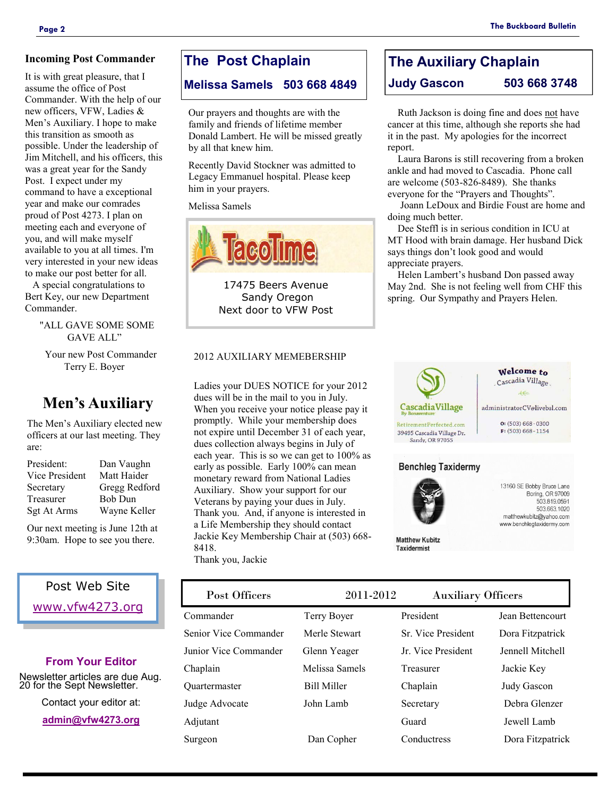It is with great pleasure, that I assume the office of Post Commander. With the help of our new officers, VFW, Ladies & Men's Auxiliary. I hope to make this transition as smooth as possible. Under the leadership of Jim Mitchell, and his officers, this was a great year for the Sandy Post. I expect under my command to have a exceptional year and make our comrades proud of Post 4273. I plan on meeting each and everyone of you, and will make myself available to you at all times. I'm very interested in your new ideas to make our post better for all.

 A special congratulations to Bert Key, our new Department Commander.

> "ALL GAVE SOME SOME GAVE ALL"

 Your new Post Commander Terry E. Boyer

# **Men's Auxiliary**

The Men's Auxiliary elected new officers at our last meeting. They are:

| President:     | Dan Vaughn     |
|----------------|----------------|
| Vice President | Matt Haider    |
| Secretary      | Gregg Redford  |
| Treasurer      | <b>Bob Dun</b> |
| Sgt At Arms    | Wayne Keller   |

Our next meeting is June 12th at 9:30am. Hope to see you there.

## Post Web Site [www.vfw4273.org](http://www.vfw4273.org/)

### **From Your Editor**

Newsletter articles are due Aug. 20 for the Sept Newsletter.

Contact your editor at:

**[admin@vfw4273.org](mailto:admin@vfw4273.org)**

## **The Post Chaplain**

**Melissa Samels 503 668 4849**

Our prayers and thoughts are with the family and friends of lifetime member Donald Lambert. He will be missed greatly by all that knew him.

Recently David Stockner was admitted to Legacy Emmanuel hospital. Please keep him in your prayers.

Melissa Samels



17475 Beers Avenue Sandy Oregon Next door to VFW Post

#### 2012 AUXILIARY MEMEBERSHIP

Ladies your DUES NOTICE for your 2012 dues will be in the mail to you in July. When you receive your notice please pay it promptly. While your membership does not expire until December 31 of each year, dues collection always begins in July of each year. This is so we can get to 100% as early as possible. Early 100% can mean monetary reward from National Ladies Auxiliary. Show your support for our Veterans by paying your dues in July. Thank you. And, if anyone is interested in a Life Membership they should contact Jackie Key Membership Chair at (503) 668- 8418. Thank you, Jackie

Welcome to Cascadia Village  $ee$ Sandy, OR 97055

**The Auxiliary Chaplain Judy Gascon 503 668 3748**

 Ruth Jackson is doing fine and does not have cancer at this time, although she reports she had it in the past. My apologies for the incorrect report.

 Laura Barons is still recovering from a broken ankle and had moved to Cascadia. Phone call are welcome (503-826-8489). She thanks everyone for the "Prayers and Thoughts".

 Joann LeDoux and Birdie Foust are home and doing much better.

 Dee Steffl is in serious condition in ICU at MT Hood with brain damage. Her husband Dick says things don't look good and would appreciate prayers.

 Helen Lambert's husband Don passed away May 2nd. She is not feeling well from CHF this spring. Our Sympathy and Prayers Helen.



| Terry Boyer        | President          | Jean Bettencourt   |
|--------------------|--------------------|--------------------|
| Merle Stewart      | Sr. Vice President | Dora Fitzpatrick   |
| Glenn Yeager       | Jr. Vice President | Jennell Mitchell   |
| Melissa Samels     | Treasurer          | Jackie Key         |
| <b>Bill Miller</b> | Chaplain           | <b>Judy Gascon</b> |
| John Lamb          | Secretary          | Debra Glenzer      |
|                    | Guard              | Jewell Lamb        |
| Dan Copher         | Conductress        | Dora Fitzpatrick   |
|                    |                    |                    |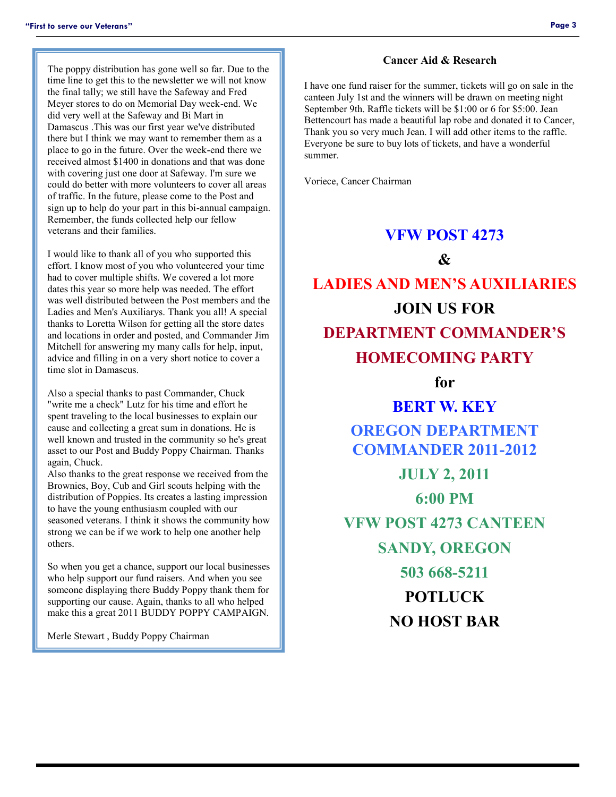The poppy distribution has gone well so far. Due to the time line to get this to the newsletter we will not know the final tally; we still have the Safeway and Fred Meyer stores to do on Memorial Day week-end. We did very well at the Safeway and Bi Mart in Damascus .This was our first year we've distributed there but I think we may want to remember them as a place to go in the future. Over the week-end there we received almost \$1400 in donations and that was done with covering just one door at Safeway. I'm sure we could do better with more volunteers to cover all areas of traffic. In the future, please come to the Post and sign up to help do your part in this bi-annual campaign. Remember, the funds collected help our fellow veterans and their families.

I would like to thank all of you who supported this effort. I know most of you who volunteered your time had to cover multiple shifts. We covered a lot more dates this year so more help was needed. The effort was well distributed between the Post members and the Ladies and Men's Auxiliarys. Thank you all! A special thanks to Loretta Wilson for getting all the store dates and locations in order and posted, and Commander Jim Mitchell for answering my many calls for help, input, advice and filling in on a very short notice to cover a time slot in Damascus.

Also a special thanks to past Commander, Chuck "write me a check" Lutz for his time and effort he spent traveling to the local businesses to explain our cause and collecting a great sum in donations. He is well known and trusted in the community so he's great asset to our Post and Buddy Poppy Chairman. Thanks again, Chuck.

Also thanks to the great response we received from the Brownies, Boy, Cub and Girl scouts helping with the distribution of Poppies. Its creates a lasting impression to have the young enthusiasm coupled with our seasoned veterans. I think it shows the community how strong we can be if we work to help one another help others.

So when you get a chance, support our local businesses who help support our fund raisers. And when you see someone displaying there Buddy Poppy thank them for supporting our cause. Again, thanks to all who helped make this a great 2011 BUDDY POPPY CAMPAIGN.

Merle Stewart , Buddy Poppy Chairman

#### **Cancer Aid & Research**

I have one fund raiser for the summer, tickets will go on sale in the canteen July 1st and the winners will be drawn on meeting night September 9th. Raffle tickets will be \$1:00 or 6 for \$5:00. Jean Bettencourt has made a beautiful lap robe and donated it to Cancer, Thank you so very much Jean. I will add other items to the raffle. Everyone be sure to buy lots of tickets, and have a wonderful summer.

Voriece, Cancer Chairman

### **VFW POST 4273**

 $\mathcal{X}$ 

# **LADIES AND MEN'S AUXILIARIES JOIN US FOR DEPARTMENT COMMANDER'S HOMECOMING PARTY**

**for**

# **BERT W. KEY OREGON DEPARTMENT COMMANDER 2011-2012 JULY 2, 2011**

**6:00 PM VFW POST 4273 CANTEEN SANDY, OREGON 503 668-5211 POTLUCK NO HOST BAR**